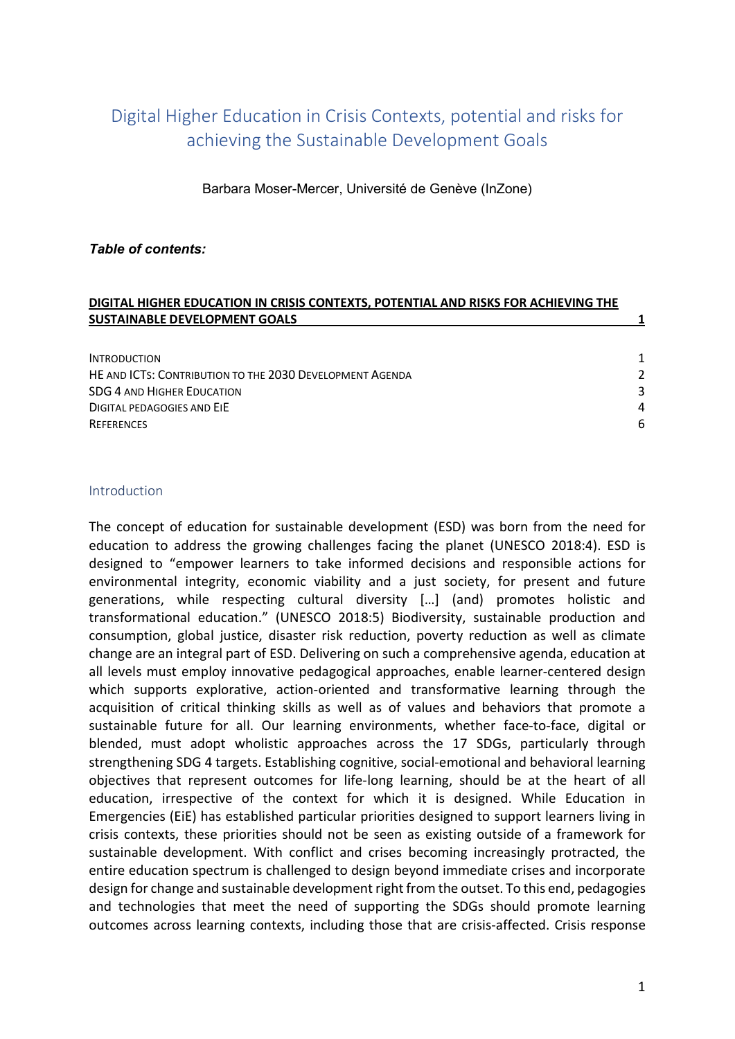# Digital Higher Education in Crisis Contexts, potential and risks for achieving the Sustainable Development Goals

Barbara Moser-Mercer, Université de Genève (InZone)

### Table of contents:

#### DIGITAL HIGHER EDUCATION IN CRISIS CONTEXTS, POTENTIAL AND RISKS FOR ACHIEVING THE SUSTAINABLE DEVELOPMENT GOALS **1**

| <b>INTRODUCTION</b>                                      | 1             |
|----------------------------------------------------------|---------------|
| HE AND ICTS: CONTRIBUTION TO THE 2030 DEVELOPMENT AGENDA | $\mathcal{L}$ |
| <b>SDG 4 AND HIGHER EDUCATION</b>                        | ર             |
| DIGITAL PEDAGOGIES AND EIE                               | 4             |
| <b>REFERENCES</b>                                        | 6             |

#### **Introduction**

The concept of education for sustainable development (ESD) was born from the need for education to address the growing challenges facing the planet (UNESCO 2018:4). ESD is designed to "empower learners to take informed decisions and responsible actions for environmental integrity, economic viability and a just society, for present and future generations, while respecting cultural diversity […] (and) promotes holistic and transformational education." (UNESCO 2018:5) Biodiversity, sustainable production and consumption, global justice, disaster risk reduction, poverty reduction as well as climate change are an integral part of ESD. Delivering on such a comprehensive agenda, education at all levels must employ innovative pedagogical approaches, enable learner-centered design which supports explorative, action-oriented and transformative learning through the acquisition of critical thinking skills as well as of values and behaviors that promote a sustainable future for all. Our learning environments, whether face-to-face, digital or blended, must adopt wholistic approaches across the 17 SDGs, particularly through strengthening SDG 4 targets. Establishing cognitive, social-emotional and behavioral learning objectives that represent outcomes for life-long learning, should be at the heart of all education, irrespective of the context for which it is designed. While Education in Emergencies (EiE) has established particular priorities designed to support learners living in crisis contexts, these priorities should not be seen as existing outside of a framework for sustainable development. With conflict and crises becoming increasingly protracted, the entire education spectrum is challenged to design beyond immediate crises and incorporate design for change and sustainable development right from the outset. To this end, pedagogies and technologies that meet the need of supporting the SDGs should promote learning outcomes across learning contexts, including those that are crisis-affected. Crisis response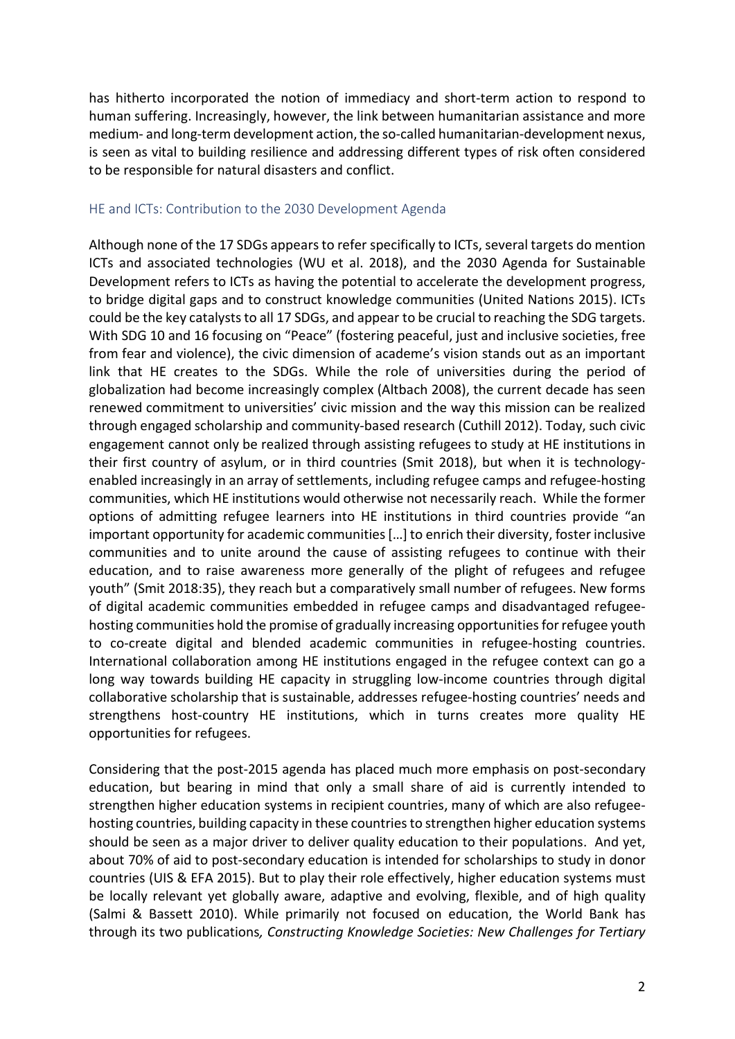has hitherto incorporated the notion of immediacy and short-term action to respond to human suffering. Increasingly, however, the link between humanitarian assistance and more medium- and long-term development action, the so-called humanitarian-development nexus, is seen as vital to building resilience and addressing different types of risk often considered to be responsible for natural disasters and conflict.

## HE and ICTs: Contribution to the 2030 Development Agenda

Although none of the 17 SDGs appears to refer specifically to ICTs, several targets do mention ICTs and associated technologies (WU et al. 2018), and the 2030 Agenda for Sustainable Development refers to ICTs as having the potential to accelerate the development progress, to bridge digital gaps and to construct knowledge communities (United Nations 2015). ICTs could be the key catalysts to all 17 SDGs, and appear to be crucial to reaching the SDG targets. With SDG 10 and 16 focusing on "Peace" (fostering peaceful, just and inclusive societies, free from fear and violence), the civic dimension of academe's vision stands out as an important link that HE creates to the SDGs. While the role of universities during the period of globalization had become increasingly complex (Altbach 2008), the current decade has seen renewed commitment to universities' civic mission and the way this mission can be realized through engaged scholarship and community-based research (Cuthill 2012). Today, such civic engagement cannot only be realized through assisting refugees to study at HE institutions in their first country of asylum, or in third countries (Smit 2018), but when it is technologyenabled increasingly in an array of settlements, including refugee camps and refugee-hosting communities, which HE institutions would otherwise not necessarily reach. While the former options of admitting refugee learners into HE institutions in third countries provide "an important opportunity for academic communities […] to enrich their diversity, foster inclusive communities and to unite around the cause of assisting refugees to continue with their education, and to raise awareness more generally of the plight of refugees and refugee youth" (Smit 2018:35), they reach but a comparatively small number of refugees. New forms of digital academic communities embedded in refugee camps and disadvantaged refugeehosting communities hold the promise of gradually increasing opportunities for refugee youth to co-create digital and blended academic communities in refugee-hosting countries. International collaboration among HE institutions engaged in the refugee context can go a long way towards building HE capacity in struggling low-income countries through digital collaborative scholarship that is sustainable, addresses refugee-hosting countries' needs and strengthens host-country HE institutions, which in turns creates more quality HE opportunities for refugees.

Considering that the post-2015 agenda has placed much more emphasis on post-secondary education, but bearing in mind that only a small share of aid is currently intended to strengthen higher education systems in recipient countries, many of which are also refugeehosting countries, building capacity in these countries to strengthen higher education systems should be seen as a major driver to deliver quality education to their populations. And yet, about 70% of aid to post-secondary education is intended for scholarships to study in donor countries (UIS & EFA 2015). But to play their role effectively, higher education systems must be locally relevant yet globally aware, adaptive and evolving, flexible, and of high quality (Salmi & Bassett 2010). While primarily not focused on education, the World Bank has through its two publications, Constructing Knowledge Societies: New Challenges for Tertiary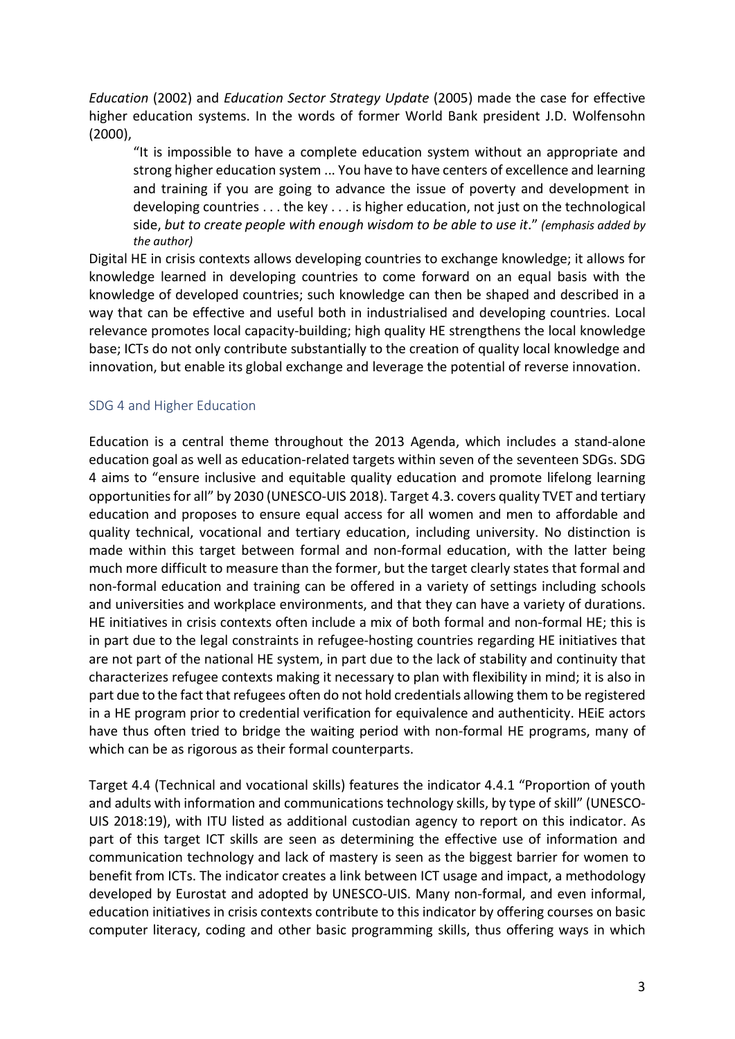Education (2002) and Education Sector Strategy Update (2005) made the case for effective higher education systems. In the words of former World Bank president J.D. Wolfensohn (2000),

"It is impossible to have a complete education system without an appropriate and strong higher education system ... You have to have centers of excellence and learning and training if you are going to advance the issue of poverty and development in developing countries . . . the key . . . is higher education, not just on the technological side, but to create people with enough wisdom to be able to use it." (emphasis added by the author)

Digital HE in crisis contexts allows developing countries to exchange knowledge; it allows for knowledge learned in developing countries to come forward on an equal basis with the knowledge of developed countries; such knowledge can then be shaped and described in a way that can be effective and useful both in industrialised and developing countries. Local relevance promotes local capacity-building; high quality HE strengthens the local knowledge base; ICTs do not only contribute substantially to the creation of quality local knowledge and innovation, but enable its global exchange and leverage the potential of reverse innovation.

### SDG 4 and Higher Education

Education is a central theme throughout the 2013 Agenda, which includes a stand-alone education goal as well as education-related targets within seven of the seventeen SDGs. SDG 4 aims to "ensure inclusive and equitable quality education and promote lifelong learning opportunities for all" by 2030 (UNESCO-UIS 2018). Target 4.3. covers quality TVET and tertiary education and proposes to ensure equal access for all women and men to affordable and quality technical, vocational and tertiary education, including university. No distinction is made within this target between formal and non-formal education, with the latter being much more difficult to measure than the former, but the target clearly states that formal and non-formal education and training can be offered in a variety of settings including schools and universities and workplace environments, and that they can have a variety of durations. HE initiatives in crisis contexts often include a mix of both formal and non-formal HE; this is in part due to the legal constraints in refugee-hosting countries regarding HE initiatives that are not part of the national HE system, in part due to the lack of stability and continuity that characterizes refugee contexts making it necessary to plan with flexibility in mind; it is also in part due to the fact that refugees often do not hold credentials allowing them to be registered in a HE program prior to credential verification for equivalence and authenticity. HEiE actors have thus often tried to bridge the waiting period with non-formal HE programs, many of which can be as rigorous as their formal counterparts.

Target 4.4 (Technical and vocational skills) features the indicator 4.4.1 "Proportion of youth and adults with information and communications technology skills, by type of skill" (UNESCO-UIS 2018:19), with ITU listed as additional custodian agency to report on this indicator. As part of this target ICT skills are seen as determining the effective use of information and communication technology and lack of mastery is seen as the biggest barrier for women to benefit from ICTs. The indicator creates a link between ICT usage and impact, a methodology developed by Eurostat and adopted by UNESCO-UIS. Many non-formal, and even informal, education initiatives in crisis contexts contribute to this indicator by offering courses on basic computer literacy, coding and other basic programming skills, thus offering ways in which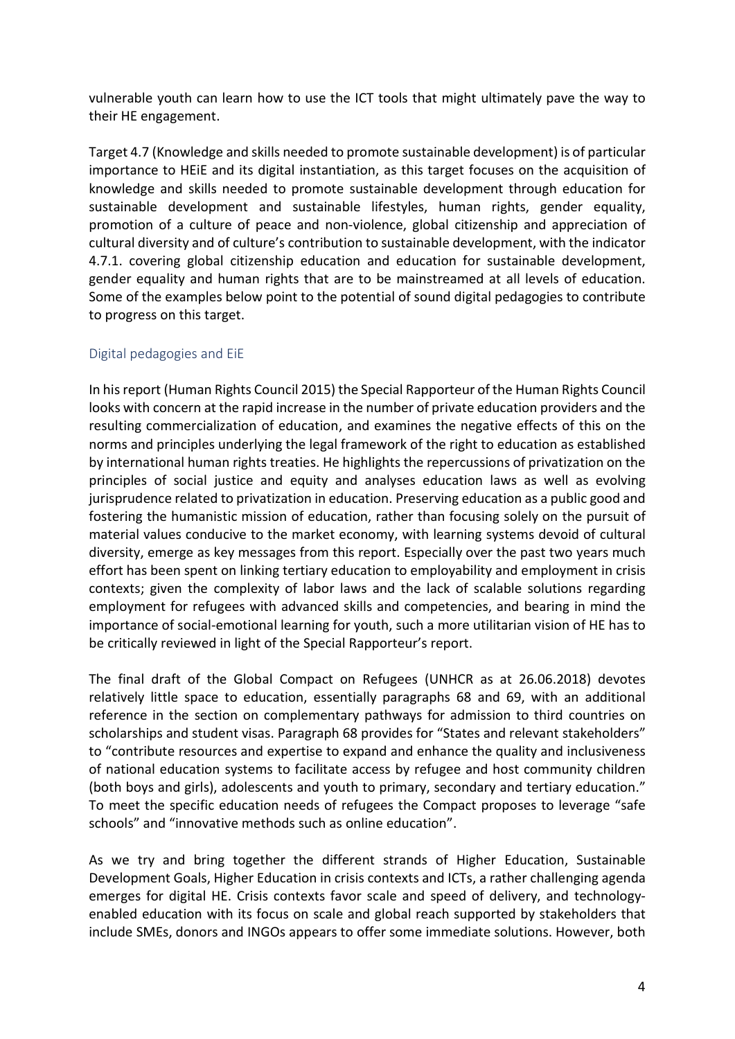vulnerable youth can learn how to use the ICT tools that might ultimately pave the way to their HE engagement.

Target 4.7 (Knowledge and skills needed to promote sustainable development) is of particular importance to HEiE and its digital instantiation, as this target focuses on the acquisition of knowledge and skills needed to promote sustainable development through education for sustainable development and sustainable lifestyles, human rights, gender equality, promotion of a culture of peace and non-violence, global citizenship and appreciation of cultural diversity and of culture's contribution to sustainable development, with the indicator 4.7.1. covering global citizenship education and education for sustainable development, gender equality and human rights that are to be mainstreamed at all levels of education. Some of the examples below point to the potential of sound digital pedagogies to contribute to progress on this target.

## Digital pedagogies and EiE

In his report (Human Rights Council 2015) the Special Rapporteur of the Human Rights Council looks with concern at the rapid increase in the number of private education providers and the resulting commercialization of education, and examines the negative effects of this on the norms and principles underlying the legal framework of the right to education as established by international human rights treaties. He highlights the repercussions of privatization on the principles of social justice and equity and analyses education laws as well as evolving jurisprudence related to privatization in education. Preserving education as a public good and fostering the humanistic mission of education, rather than focusing solely on the pursuit of material values conducive to the market economy, with learning systems devoid of cultural diversity, emerge as key messages from this report. Especially over the past two years much effort has been spent on linking tertiary education to employability and employment in crisis contexts; given the complexity of labor laws and the lack of scalable solutions regarding employment for refugees with advanced skills and competencies, and bearing in mind the importance of social-emotional learning for youth, such a more utilitarian vision of HE has to be critically reviewed in light of the Special Rapporteur's report.

The final draft of the Global Compact on Refugees (UNHCR as at 26.06.2018) devotes relatively little space to education, essentially paragraphs 68 and 69, with an additional reference in the section on complementary pathways for admission to third countries on scholarships and student visas. Paragraph 68 provides for "States and relevant stakeholders" to "contribute resources and expertise to expand and enhance the quality and inclusiveness of national education systems to facilitate access by refugee and host community children (both boys and girls), adolescents and youth to primary, secondary and tertiary education." To meet the specific education needs of refugees the Compact proposes to leverage "safe schools" and "innovative methods such as online education".

As we try and bring together the different strands of Higher Education, Sustainable Development Goals, Higher Education in crisis contexts and ICTs, a rather challenging agenda emerges for digital HE. Crisis contexts favor scale and speed of delivery, and technologyenabled education with its focus on scale and global reach supported by stakeholders that include SMEs, donors and INGOs appears to offer some immediate solutions. However, both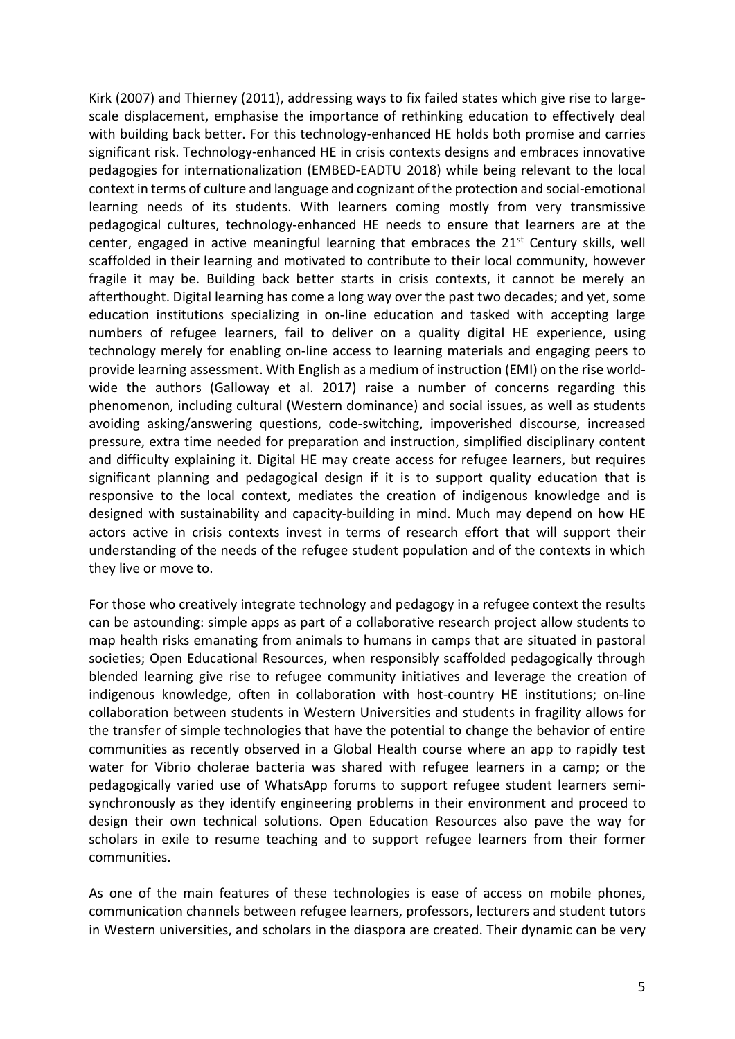Kirk (2007) and Thierney (2011), addressing ways to fix failed states which give rise to largescale displacement, emphasise the importance of rethinking education to effectively deal with building back better. For this technology-enhanced HE holds both promise and carries significant risk. Technology-enhanced HE in crisis contexts designs and embraces innovative pedagogies for internationalization (EMBED-EADTU 2018) while being relevant to the local context in terms of culture and language and cognizant of the protection and social-emotional learning needs of its students. With learners coming mostly from very transmissive pedagogical cultures, technology-enhanced HE needs to ensure that learners are at the center, engaged in active meaningful learning that embraces the 21<sup>st</sup> Century skills, well scaffolded in their learning and motivated to contribute to their local community, however fragile it may be. Building back better starts in crisis contexts, it cannot be merely an afterthought. Digital learning has come a long way over the past two decades; and yet, some education institutions specializing in on-line education and tasked with accepting large numbers of refugee learners, fail to deliver on a quality digital HE experience, using technology merely for enabling on-line access to learning materials and engaging peers to provide learning assessment. With English as a medium of instruction (EMI) on the rise worldwide the authors (Galloway et al. 2017) raise a number of concerns regarding this phenomenon, including cultural (Western dominance) and social issues, as well as students avoiding asking/answering questions, code-switching, impoverished discourse, increased pressure, extra time needed for preparation and instruction, simplified disciplinary content and difficulty explaining it. Digital HE may create access for refugee learners, but requires significant planning and pedagogical design if it is to support quality education that is responsive to the local context, mediates the creation of indigenous knowledge and is designed with sustainability and capacity-building in mind. Much may depend on how HE actors active in crisis contexts invest in terms of research effort that will support their understanding of the needs of the refugee student population and of the contexts in which they live or move to.

For those who creatively integrate technology and pedagogy in a refugee context the results can be astounding: simple apps as part of a collaborative research project allow students to map health risks emanating from animals to humans in camps that are situated in pastoral societies; Open Educational Resources, when responsibly scaffolded pedagogically through blended learning give rise to refugee community initiatives and leverage the creation of indigenous knowledge, often in collaboration with host-country HE institutions; on-line collaboration between students in Western Universities and students in fragility allows for the transfer of simple technologies that have the potential to change the behavior of entire communities as recently observed in a Global Health course where an app to rapidly test water for Vibrio cholerae bacteria was shared with refugee learners in a camp; or the pedagogically varied use of WhatsApp forums to support refugee student learners semisynchronously as they identify engineering problems in their environment and proceed to design their own technical solutions. Open Education Resources also pave the way for scholars in exile to resume teaching and to support refugee learners from their former communities.

As one of the main features of these technologies is ease of access on mobile phones, communication channels between refugee learners, professors, lecturers and student tutors in Western universities, and scholars in the diaspora are created. Their dynamic can be very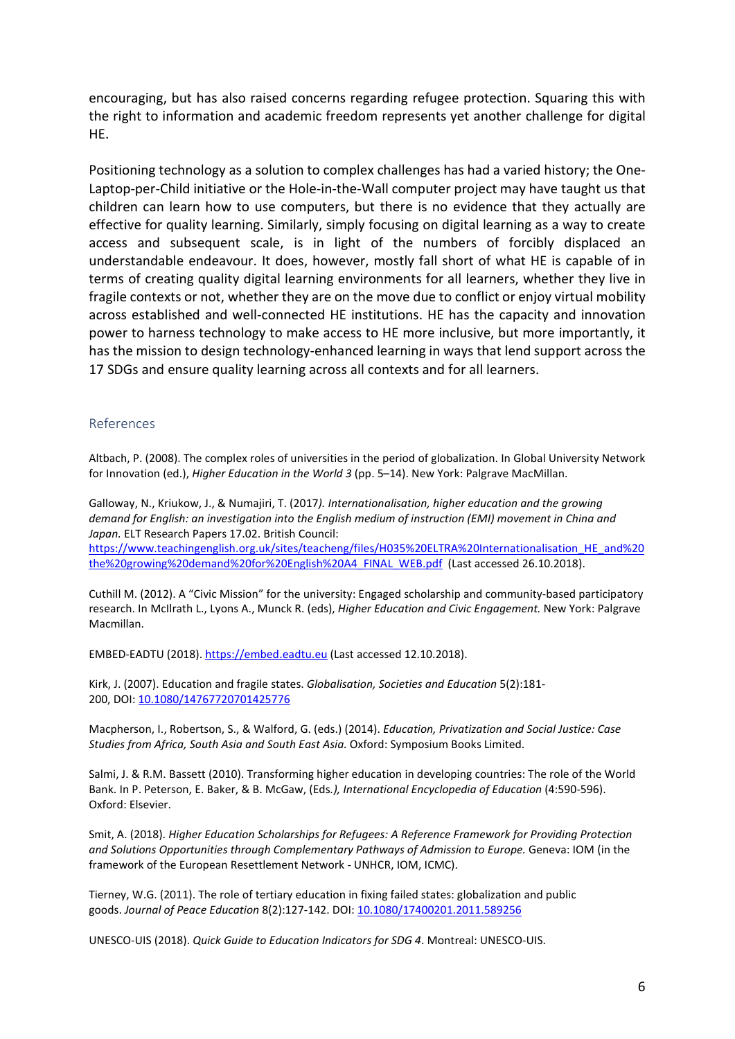encouraging, but has also raised concerns regarding refugee protection. Squaring this with the right to information and academic freedom represents yet another challenge for digital HE.

Positioning technology as a solution to complex challenges has had a varied history; the One-Laptop-per-Child initiative or the Hole-in-the-Wall computer project may have taught us that children can learn how to use computers, but there is no evidence that they actually are effective for quality learning. Similarly, simply focusing on digital learning as a way to create access and subsequent scale, is in light of the numbers of forcibly displaced an understandable endeavour. It does, however, mostly fall short of what HE is capable of in terms of creating quality digital learning environments for all learners, whether they live in fragile contexts or not, whether they are on the move due to conflict or enjoy virtual mobility across established and well-connected HE institutions. HE has the capacity and innovation power to harness technology to make access to HE more inclusive, but more importantly, it has the mission to design technology-enhanced learning in ways that lend support across the 17 SDGs and ensure quality learning across all contexts and for all learners.

#### References

Altbach, P. (2008). The complex roles of universities in the period of globalization. In Global University Network for Innovation (ed.), Higher Education in the World 3 (pp. 5-14). New York: Palgrave MacMillan.

Galloway, N., Kriukow, J., & Numajiri, T. (2017). Internationalisation, higher education and the growing demand for English: an investigation into the English medium of instruction (EMI) movement in China and Japan. ELT Research Papers 17.02. British Council: https://www.teachingenglish.org.uk/sites/teacheng/files/H035%20ELTRA%20Internationalisation\_HE\_and%20 the%20growing%20demand%20for%20English%20A4\_FINAL\_WEB.pdf (Last accessed 26.10.2018).

Cuthill M. (2012). A "Civic Mission" for the university: Engaged scholarship and community-based participatory research. In McIlrath L., Lyons A., Munck R. (eds), Higher Education and Civic Engagement. New York: Palgrave Macmillan.

EMBED-EADTU (2018). https://embed.eadtu.eu (Last accessed 12.10.2018).

Kirk, J. (2007). Education and fragile states. Globalisation, Societies and Education 5(2):181-200, DOI: 10.1080/14767720701425776

Macpherson, I., Robertson, S., & Walford, G. (eds.) (2014). Education, Privatization and Social Justice: Case Studies from Africa, South Asia and South East Asia. Oxford: Symposium Books Limited.

Salmi, J. & R.M. Bassett (2010). Transforming higher education in developing countries: The role of the World Bank. In P. Peterson, E. Baker, & B. McGaw, (Eds.), International Encyclopedia of Education (4:590-596). Oxford: Elsevier.

Smit, A. (2018). Higher Education Scholarships for Refugees: A Reference Framework for Providing Protection and Solutions Opportunities through Complementary Pathways of Admission to Europe. Geneva: IOM (in the framework of the European Resettlement Network - UNHCR, IOM, ICMC).

Tierney, W.G. (2011). The role of tertiary education in fixing failed states: globalization and public goods. Journal of Peace Education 8(2):127-142. DOI: 10.1080/17400201.2011.589256

UNESCO-UIS (2018). Quick Guide to Education Indicators for SDG 4. Montreal: UNESCO-UIS.